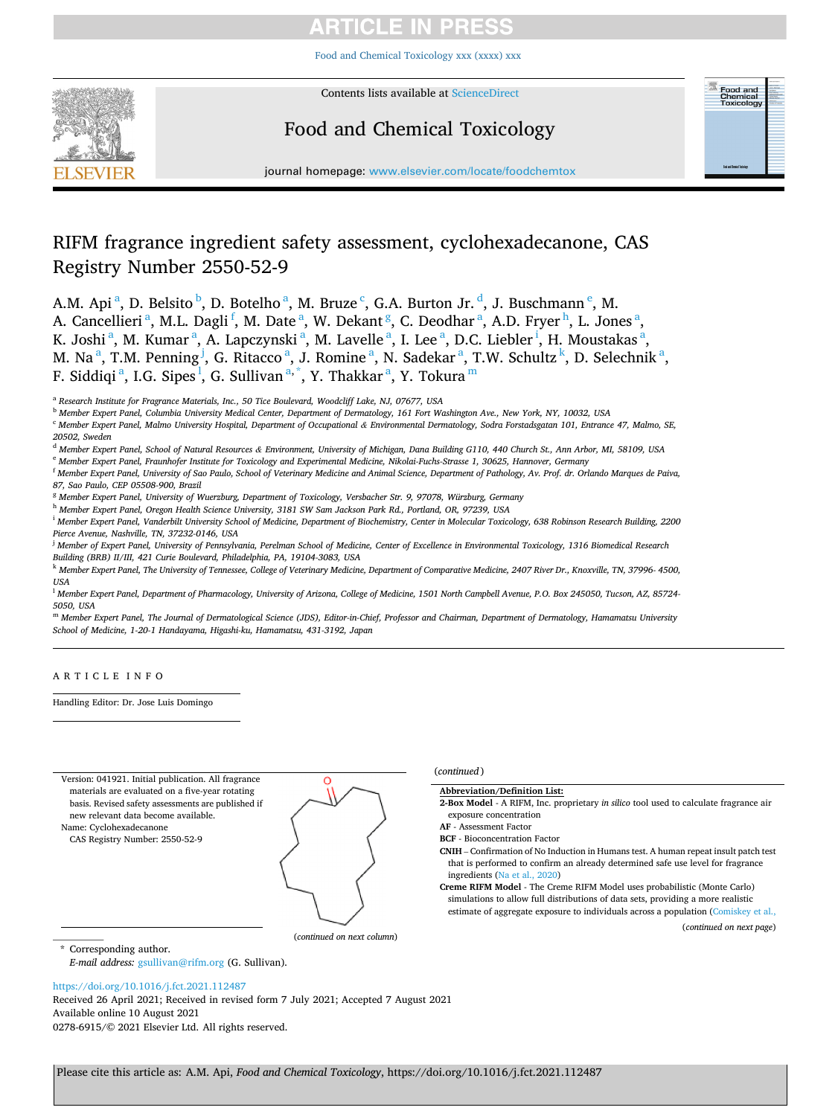Food [and Chemical Toxicology xxx \(xxxx\) xxx](https://doi.org/10.1016/j.fct.2021.112487)



Contents lists available at [ScienceDirect](www.sciencedirect.com/science/journal/02786915)

## Food and Chemical Toxicology



journal homepage: [www.elsevier.com/locate/foodchemtox](https://www.elsevier.com/locate/foodchemtox)

## RIFM fragrance ingredient safety assessment, cyclohexadecanone, CAS Registry Number 2550-52-9

A.M. Api<sup>a</sup>, D. Belsito<sup>b</sup>, D. Botelho<sup>a</sup>, M. Bruze<sup>c</sup>, G.A. Burton Jr.<sup>d</sup>, J. Buschmann<sup>e</sup>, M. A. Cancellieri<sup>a</sup>, M.L. Dagli<sup>f</sup>, M. Date<sup>a</sup>, W. Dekant<sup>g</sup>, C. Deodhar<sup>a</sup>, A.D. Fryer<sup>h</sup>, L. Jones<sup>a</sup>, K. Joshi<sup>a</sup>, M. Kumar<sup>a</sup>, A. Lapczynski<sup>a</sup>, M. Lavelle<sup>a</sup>, I. Lee<sup>a</sup>, D.C. Liebler<sup>i</sup>, H. Moustakas<sup>a</sup>, M. Na<sup>a</sup>, T.M. Penning<sup>j</sup>, G. Ritacco<sup>a</sup>, J. Romine<sup>a</sup>, N. Sadekar<sup>a</sup>, T.W. Schultz<sup>k</sup>, D. Selechnik<sup>a</sup>, F. Siddiqi $^{\rm a}$ , I.G. Sipes $^{\rm l}$ , G. Sullivan $^{\rm a,*}$ , Y. Thakkar $^{\rm a}$ , Y. Tokura $^{\rm m}$ 

- <sup>f</sup> *Member Expert Panel, University of Sao Paulo, School of Veterinary Medicine and Animal Science, Department of Pathology, Av. Prof. dr. Orlando Marques de Paiva, 87, Sao Paulo, CEP 05508-900, Brazil*
- <sup>g</sup> *Member Expert Panel, University of Wuerzburg, Department of Toxicology, Versbacher Str. 9, 97078, Würzburg, Germany*

<sup>h</sup> *Member Expert Panel, Oregon Health Science University, 3181 SW Sam Jackson Park Rd., Portland, OR, 97239, USA* 

<sup>i</sup> *Member Expert Panel, Vanderbilt University School of Medicine, Department of Biochemistry, Center in Molecular Toxicology, 638 Robinson Research Building, 2200 Pierce Avenue, Nashville, TN, 37232-0146, USA* 

<sup>j</sup> *Member of Expert Panel, University of Pennsylvania, Perelman School of Medicine, Center of Excellence in Environmental Toxicology, 1316 Biomedical Research Building (BRB) II/III, 421 Curie Boulevard, Philadelphia, PA, 19104-3083, USA* 

<sup>k</sup> *Member Expert Panel, The University of Tennessee, College of Veterinary Medicine, Department of Comparative Medicine, 2407 River Dr., Knoxville, TN, 37996- 4500, USA* 

<sup>l</sup> *Member Expert Panel, Department of Pharmacology, University of Arizona, College of Medicine, 1501 North Campbell Avenue, P.O. Box 245050, Tucson, AZ, 85724- 5050, USA* 

<sup>m</sup> *Member Expert Panel, The Journal of Dermatological Science (JDS), Editor-in-Chief, Professor and Chairman, Department of Dermatology, Hamamatsu University School of Medicine, 1-20-1 Handayama, Higashi-ku, Hamamatsu, 431-3192, Japan* 

#### ARTICLE INFO

Handling Editor: Dr. Jose Luis Domingo

Version: 041921. Initial publication. All fragrance materials are evaluated on a five-year rotating basis. Revised safety assessments are published if new relevant data become available. Name: Cyclohexadecanone

CAS Registry Number: 2550-52-9



(*continued on next column*)

\* Corresponding author. *E-mail address:* [gsullivan@rifm.org](mailto:gsullivan@rifm.org) (G. Sullivan).

### <https://doi.org/10.1016/j.fct.2021.112487>

Available online 10 August 2021 0278-6915/© 2021 Elsevier Ltd. All rights reserved. Received 26 April 2021; Received in revised form 7 July 2021; Accepted 7 August 2021

#### (*continued* )

**Abbreviation/Definition List:** 

- **2-Box Model**  A RIFM, Inc. proprietary *in silico* tool used to calculate fragrance air exposure concentration
- **AF**  Assessment Factor

**BCF** - Bioconcentration Factor

**CNIH** – Confirmation of No Induction in Humans test. A human repeat insult patch test that is performed to confirm an already determined safe use level for fragrance ingredients [\(Na et al., 2020](#page-8-0))

**Creme RIFM Model** - The Creme RIFM Model uses probabilistic (Monte Carlo) simulations to allow full distributions of data sets, providing a more realistic estimate of aggregate exposure to individuals across a population ([Comiskey et al.,](#page-8-0) 

(*continued on next page*)

<sup>a</sup> *Research Institute for Fragrance Materials, Inc., 50 Tice Boulevard, Woodcliff Lake, NJ, 07677, USA* 

<sup>b</sup> *Member Expert Panel, Columbia University Medical Center, Department of Dermatology, 161 Fort Washington Ave., New York, NY, 10032, USA* 

<sup>&</sup>lt;sup>c</sup> Member Expert Panel, Malmo University Hospital, Department of Occupational & Environmental Dermatology, Sodra Forstadsgatan 101, Entrance 47, Malmo, SE, *20502, Sweden* 

<sup>d</sup> *Member Expert Panel, School of Natural Resources & Environment, University of Michigan, Dana Building G110, 440 Church St., Ann Arbor, MI, 58109, USA* 

<sup>e</sup> *Member Expert Panel, Fraunhofer Institute for Toxicology and Experimental Medicine, Nikolai-Fuchs-Strasse 1, 30625, Hannover, Germany*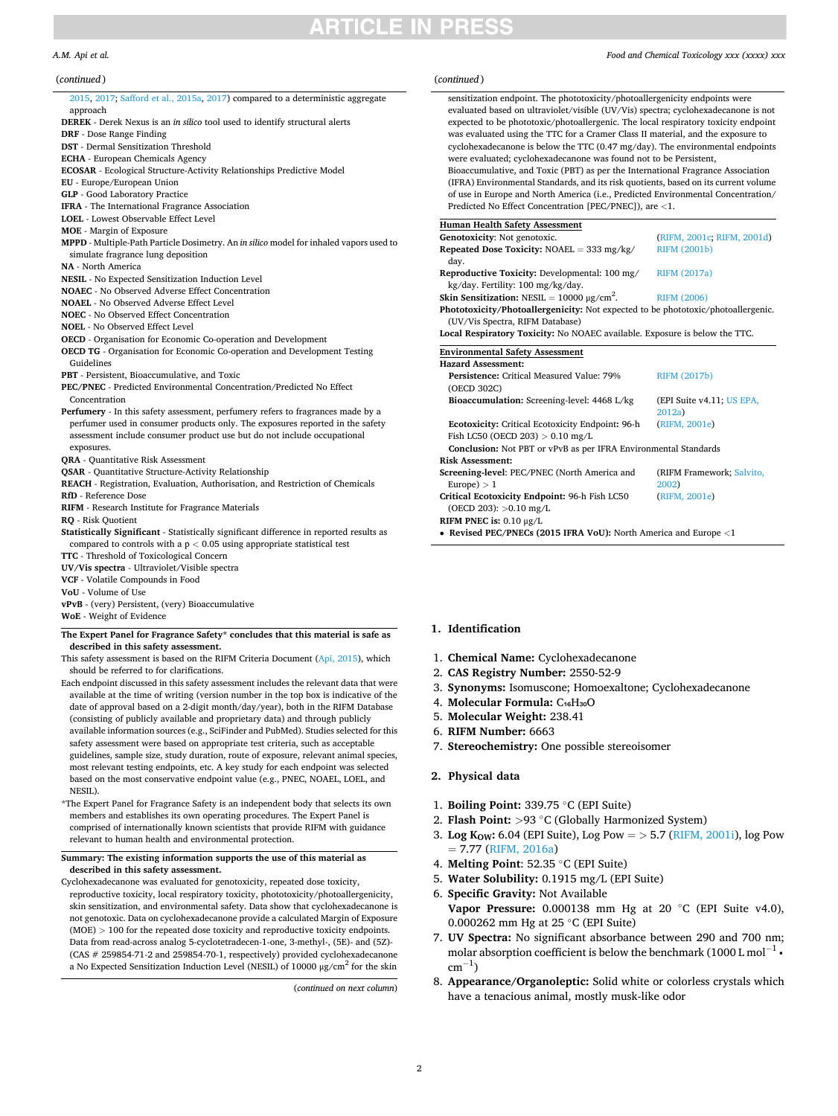## **TICLE IN PRE**

## <span id="page-1-0"></span>*A.M. Api et al.*

### (*continued* )

- [2015,](#page-8-0) [2017;](#page-8-0) [Safford et al., 2015a](#page-9-0), [2017](#page-9-0)) compared to a deterministic aggregate approach
- **DEREK**  Derek Nexus is an *in silico* tool used to identify structural alerts
- **DRF**  Dose Range Finding
- **DST**  Dermal Sensitization Threshold
- **ECHA**  European Chemicals Agency
- **ECOSAR**  Ecological Structure-Activity Relationships Predictive Model
- **EU**  Europe/European Union
- **GLP**  Good Laboratory Practice
- **IFRA**  The International Fragrance Association
- **LOEL**  Lowest Observable Effect Level
- **MOE**  Margin of Exposure
- **MPPD**  Multiple-Path Particle Dosimetry. An *in silico* model for inhaled vapors used to simulate fragrance lung deposition
- **NA**  North America
- **NESIL**  No Expected Sensitization Induction Level
- **NOAEC**  No Observed Adverse Effect Concentration
- **NOAEL**  No Observed Adverse Effect Level
- **NOEC**  No Observed Effect Concentration
- **NOEL**  No Observed Effect Level
- **OECD**  Organisation for Economic Co-operation and Development
- **OECD TG**  Organisation for Economic Co-operation and Development Testing Guidelines
- **PBT**  Persistent, Bioaccumulative, and Toxic
- **PEC/PNEC**  Predicted Environmental Concentration/Predicted No Effect Concentration
- **Perfumery**  In this safety assessment, perfumery refers to fragrances made by a perfumer used in consumer products only. The exposures reported in the safety assessment include consumer product use but do not include occupational exposures.
- **QRA**  Quantitative Risk Assessment
- **QSAR**  Quantitative Structure-Activity Relationship
- **REACH**  Registration, Evaluation, Authorisation, and Restriction of Chemicals
- **RfD**  Reference Dose
- **RIFM**  Research Institute for Fragrance Materials
- **RQ**  Risk Quotient
- **Statistically Significant**  Statistically significant difference in reported results as compared to controls with a p *<* 0.05 using appropriate statistical test
- **TTC**  Threshold of Toxicological Concern
- **UV/Vis spectra**  Ultraviolet/Visible spectra
- **VCF**  Volatile Compounds in Food
- **VoU**  Volume of Use
- **vPvB**  (very) Persistent, (very) Bioaccumulative
- **WoE**  Weight of Evidence

#### **The Expert Panel for Fragrance Safety\* concludes that this material is safe as described in this safety assessment.**

- This safety assessment is based on the RIFM Criteria Document [\(Api, 2015](#page-8-0)), which should be referred to for clarifications.
- Each endpoint discussed in this safety assessment includes the relevant data that were available at the time of writing (version number in the top box is indicative of the date of approval based on a 2-digit month/day/year), both in the RIFM Database (consisting of publicly available and proprietary data) and through publicly available information sources (e.g., SciFinder and PubMed). Studies selected for this safety assessment were based on appropriate test criteria, such as acceptable guidelines, sample size, study duration, route of exposure, relevant animal species, most relevant testing endpoints, etc. A key study for each endpoint was selected based on the most conservative endpoint value (e.g., PNEC, NOAEL, LOEL, and NESIL).
- \*The Expert Panel for Fragrance Safety is an independent body that selects its own members and establishes its own operating procedures. The Expert Panel is comprised of internationally known scientists that provide RIFM with guidance relevant to human health and environmental protection.

#### **Summary: The existing information supports the use of this material as described in this safety assessment.**

Cyclohexadecanone was evaluated for genotoxicity, repeated dose toxicity, reproductive toxicity, local respiratory toxicity, phototoxicity/photoallergenicity, skin sensitization, and environmental safety. Data show that cyclohexadecanone is not genotoxic. Data on cyclohexadecanone provide a calculated Margin of Exposure (MOE) *>* 100 for the repeated dose toxicity and reproductive toxicity endpoints. Data from read-across analog 5-cyclotetradecen-1-one, 3-methyl-, (5E)- and (5Z)- (CAS # 259854-71-2 and 259854-70-1, respectively) provided cyclohexadecanone a No Expected Sensitization Induction Level (NESIL) of 10000 μg/cm2 for the skin

(*continued on next column*)

## (*continued* )

sensitization endpoint. The phototoxicity/photoallergenicity endpoints were evaluated based on ultraviolet/visible (UV/Vis) spectra; cyclohexadecanone is not expected to be phototoxic/photoallergenic. The local respiratory toxicity endpoint was evaluated using the TTC for a Cramer Class II material, and the exposure to cyclohexadecanone is below the TTC (0.47 mg/day). The environmental endpoints were evaluated; cyclohexadecanone was found not to be Persistent, Bioaccumulative, and Toxic (PBT) as per the International Fragrance Association

(IFRA) Environmental Standards, and its risk quotients, based on its current volume of use in Europe and North America (i.e., Predicted Environmental Concentration/ Predicted No Effect Concentration [PEC/PNEC]), are *<*1.

| Human Health Safety Assessment                                                   |                            |
|----------------------------------------------------------------------------------|----------------------------|
| Genotoxicity: Not genotoxic.                                                     | (RIFM, 2001c; RIFM, 2001d) |
| Repeated Dose Toxicity: $NOAEL = 333 mg/kg/$                                     | <b>RIFM (2001b)</b>        |
| day.                                                                             |                            |
| Reproductive Toxicity: Developmental: 100 mg/                                    | <b>RIFM (2017a)</b>        |
| kg/day. Fertility: 100 mg/kg/day.                                                |                            |
| Skin Sensitization: NESIL = $10000 \mu g/cm^2$ .                                 | <b>RIFM (2006)</b>         |
| Phototoxicity/Photoallergenicity: Not expected to be phototoxic/photoallergenic. |                            |
| (UV/Vis Spectra, RIFM Database)                                                  |                            |
| Local Respiratory Toxicity: No NOAEC available. Exposure is below the TTC.       |                            |
| <b>Environmental Safety Assessment</b>                                           |                            |
| <b>Hazard Assessment:</b>                                                        |                            |
| Persistence: Critical Measured Value: 79%                                        | <b>RIFM (2017b)</b>        |
| (OECD 302C)                                                                      |                            |
| Bioaccumulation: Screening-level: 4468 L/kg                                      | (EPI Suite v4.11; US EPA,  |
|                                                                                  | 2012a                      |
| Ecotoxicity: Critical Ecotoxicity Endpoint: 96-h                                 | (RIFM, 2001e)              |
| Fish LC50 (OECD $203$ ) $> 0.10$ mg/L                                            |                            |
| Conclusion: Not PBT or vPvB as per IFRA Environmental Standards                  |                            |
| <b>Risk Assessment:</b>                                                          |                            |
| Screening-level: PEC/PNEC (North America and                                     | (RIFM Framework; Salvito,  |
| Europe $)>1$                                                                     | 2002)                      |
| Critical Ecotoxicity Endpoint: 96-h Fish LC50                                    | (RIFM, 2001e)              |

(OECD 203): *>*0.10 mg/L **RIFM PNEC is:** 0.10 μg/L

• **Revised PEC/PNECs (2015 IFRA VoU):** North America and Europe *<*1

#### **1. Identification**

- 1. **Chemical Name:** Cyclohexadecanone
- 2. **CAS Registry Number:** 2550-52-9
- 3. **Synonyms:** Isomuscone; Homoexaltone; Cyclohexadecanone
- 4. **Molecular Formula:** C₁₆H₃₀O
- 5. **Molecular Weight:** 238.41
- 6. **RIFM Number:** 6663
- 7. **Stereochemistry:** One possible stereoisomer
- **2. Physical data**
- 1. **Boiling Point:** 339.75 ◦C (EPI Suite)
- 2. **Flash Point:** *>*93 ◦C (Globally Harmonized System)
- 3. **Log KOW:** 6.04 (EPI Suite), Log Pow = *>* 5.7 ([RIFM, 2001i](#page-8-0)), log Pow  $= 7.77$  [\(RIFM, 2016a\)](#page-8-0)
- 4. **Melting Point**: 52.35 ◦C (EPI Suite)
- 5. **Water Solubility:** 0.1915 mg/L (EPI Suite)
- 6. **Specific Gravity:** Not Available **Vapor Pressure:** 0.000138 mm Hg at 20 ◦C (EPI Suite v4.0), 0.000262 mm Hg at 25 ◦C (EPI Suite)
- 7. **UV Spectra:** No significant absorbance between 290 and 700 nm; molar absorption coefficient is below the benchmark (1000 L mol<sup>-1</sup> •  $\text{cm}^{-1}$ )
- 8. **Appearance/Organoleptic:** Solid white or colorless crystals which have a tenacious animal, mostly musk-like odor

## *Food and Chemical Toxicology xxx (xxxx) xxx*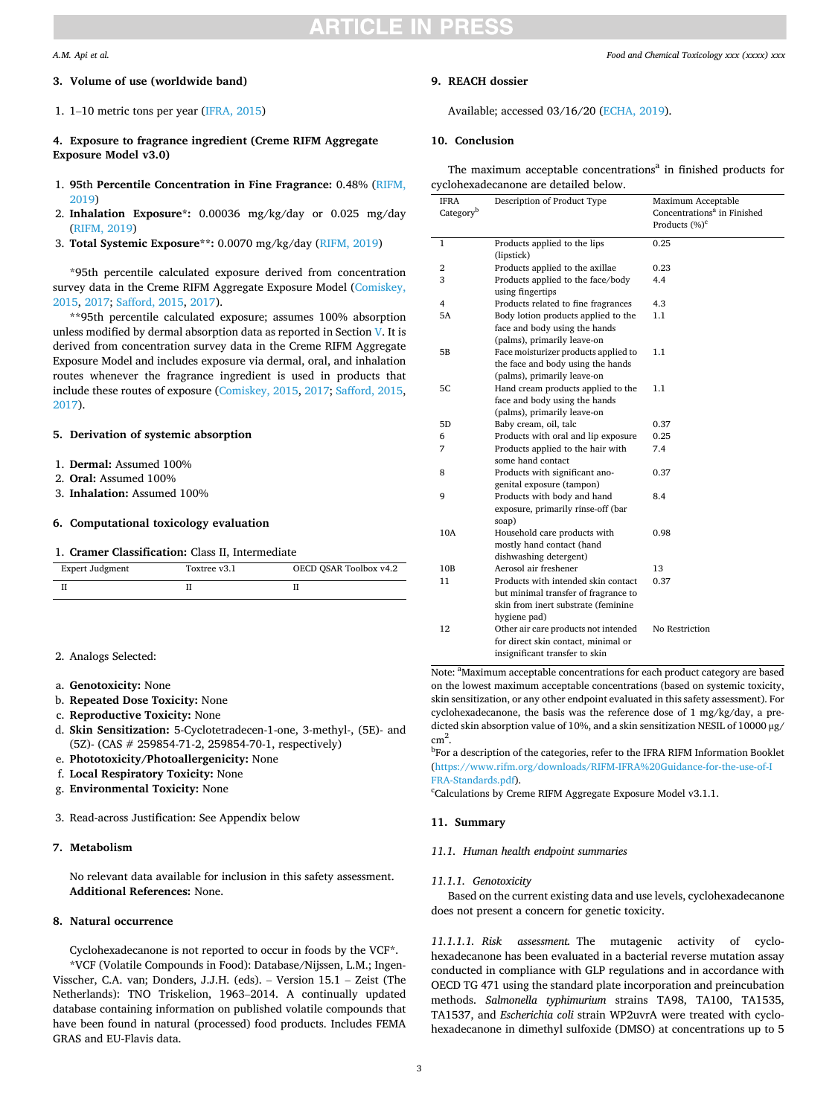## TICI E IN PR

#### <span id="page-2-0"></span>*A.M. Api et al.*

### **3. Volume of use (worldwide band)**

### 1. 1–10 metric tons per year [\(IFRA, 2015](#page-8-0))

**4. Exposure to fragrance ingredient (Creme RIFM Aggregate Exposure Model v3.0)** 

- 1. **95**th **Percentile Concentration in Fine Fragrance:** 0.48% [\(RIFM,](#page-9-0)  [2019](#page-9-0))
- 2. **Inhalation Exposure\*:** 0.00036 mg/kg/day or 0.025 mg/day [\(RIFM, 2019](#page-9-0))
- 3. **Total Systemic Exposure\*\*:** 0.0070 mg/kg/day [\(RIFM, 2019\)](#page-9-0)

\*95th percentile calculated exposure derived from concentration survey data in the Creme RIFM Aggregate Exposure Model [\(Comiskey,](#page-8-0)  [2015, 2017](#page-8-0); [Safford, 2015, 2017](#page-9-0)).

\*\*95th percentile calculated exposure; assumes 100% absorption unless modified by dermal absorption data as reported in Section V. It is derived from concentration survey data in the Creme RIFM Aggregate Exposure Model and includes exposure via dermal, oral, and inhalation routes whenever the fragrance ingredient is used in products that include these routes of exposure ([Comiskey, 2015](#page-8-0), [2017](#page-8-0); [Safford, 2015](#page-9-0), [2017\)](#page-9-0).

## **5. Derivation of systemic absorption**

- 1. **Dermal:** Assumed 100%
- 2. **Oral:** Assumed 100%
- 3. **Inhalation:** Assumed 100%

#### **6. Computational toxicology evaluation**

#### 1. **Cramer Classification:** Class II, Intermediate

| Expert Judgment | Toxtree v3.1 | OECD QSAR Toolbox v4.2 |
|-----------------|--------------|------------------------|
|                 |              |                        |

- 2. Analogs Selected:
- a. **Genotoxicity:** None
- b. **Repeated Dose Toxicity:** None
- c. **Reproductive Toxicity:** None
- d. **Skin Sensitization:** 5-Cyclotetradecen-1-one, 3-methyl-, (5E)- and (5Z)- (CAS # 259854-71-2, 259854-70-1, respectively)
- e. **Phototoxicity/Photoallergenicity:** None
- f. **Local Respiratory Toxicity:** None
- g. **Environmental Toxicity:** None

3. Read-across Justification: See Appendix below

### **7. Metabolism**

No relevant data available for inclusion in this safety assessment. **Additional References:** None.

#### **8. Natural occurrence**

Cyclohexadecanone is not reported to occur in foods by the VCF\*. \*VCF (Volatile Compounds in Food): Database/Nijssen, L.M.; Ingen-Visscher, C.A. van; Donders, J.J.H. (eds). – Version 15.1 – Zeist (The Netherlands): TNO Triskelion, 1963–2014. A continually updated database containing information on published volatile compounds that have been found in natural (processed) food products. Includes FEMA GRAS and EU-Flavis data.

#### *Food and Chemical Toxicology xxx (xxxx) xxx*

### **9. REACH dossier**

Available; accessed 03/16/20 ([ECHA, 2019\)](#page-8-0).

## **10. Conclusion**

The maximum acceptable concentrations<sup>a</sup> in finished products for cyclohexadecanone are detailed below.

| <b>IFRA</b><br>Category <sup>b</sup> | Description of Product Type                                                                                                        | Maximum Acceptable<br>Concentrations <sup>a</sup> in Finished<br>Products $(\%)^c$ |
|--------------------------------------|------------------------------------------------------------------------------------------------------------------------------------|------------------------------------------------------------------------------------|
| $\mathbf{1}$                         | Products applied to the lips                                                                                                       | 0.25                                                                               |
|                                      | (lipstick)                                                                                                                         |                                                                                    |
| 2                                    | Products applied to the axillae                                                                                                    | 0.23                                                                               |
| 3                                    | Products applied to the face/body<br>using fingertips                                                                              | 4.4                                                                                |
| 4                                    | Products related to fine fragrances                                                                                                | 4.3                                                                                |
| <b>5A</b>                            | Body lotion products applied to the<br>face and body using the hands<br>(palms), primarily leave-on                                | 1.1                                                                                |
| 5B                                   | Face moisturizer products applied to<br>the face and body using the hands<br>(palms), primarily leave-on                           | 1.1                                                                                |
| 5C                                   | Hand cream products applied to the<br>face and body using the hands<br>(palms), primarily leave-on                                 | 1.1                                                                                |
| 5D                                   | Baby cream, oil, talc                                                                                                              | 0.37                                                                               |
| 6                                    | Products with oral and lip exposure                                                                                                | 0.25                                                                               |
| 7                                    | Products applied to the hair with<br>some hand contact                                                                             | 7.4                                                                                |
| 8                                    | Products with significant ano-<br>genital exposure (tampon)                                                                        | 0.37                                                                               |
| 9                                    | Products with body and hand<br>exposure, primarily rinse-off (bar<br>soap)                                                         | 8.4                                                                                |
| 10A                                  | Household care products with<br>mostly hand contact (hand<br>dishwashing detergent)                                                | 0.98                                                                               |
| 10B                                  | Aerosol air freshener                                                                                                              | 13                                                                                 |
| 11                                   | Products with intended skin contact<br>but minimal transfer of fragrance to<br>skin from inert substrate (feminine<br>hygiene pad) | 0.37                                                                               |
| 12                                   | Other air care products not intended<br>for direct skin contact, minimal or<br>insignificant transfer to skin                      | No Restriction                                                                     |

Note: <sup>a</sup>Maximum acceptable concentrations for each product category are based on the lowest maximum acceptable concentrations (based on systemic toxicity, skin sensitization, or any other endpoint evaluated in this safety assessment). For cyclohexadecanone, the basis was the reference dose of 1 mg/kg/day, a predicted skin absorption value of 10%, and a skin sensitization NESIL of 10000 μg/  $cm<sup>2</sup>$ .

cm<sup>2</sup>.<br><sup>b</sup>For a description of the categories, refer to the IFRA RIFM Information Booklet [\(https://www.rifm.org/downloads/RIFM-IFRA%20Guidance-for-the-use-of-I](https://www.rifm.org/downloads/RIFM-IFRA%20Guidance-for-the-use-of-IFRA-Standards.pdf) [FRA-Standards.pdf\)](https://www.rifm.org/downloads/RIFM-IFRA%20Guidance-for-the-use-of-IFRA-Standards.pdf).

Calculations by Creme RIFM Aggregate Exposure Model v3.1.1.

#### **11. Summary**

### *11.1. Human health endpoint summaries*

#### *11.1.1. Genotoxicity*

Based on the current existing data and use levels, cyclohexadecanone does not present a concern for genetic toxicity.

*11.1.1.1. Risk assessment.* The mutagenic activity of cyclohexadecanone has been evaluated in a bacterial reverse mutation assay conducted in compliance with GLP regulations and in accordance with OECD TG 471 using the standard plate incorporation and preincubation methods. *Salmonella typhimurium* strains TA98, TA100, TA1535, TA1537, and *Escherichia coli* strain WP2uvrA were treated with cyclohexadecanone in dimethyl sulfoxide (DMSO) at concentrations up to 5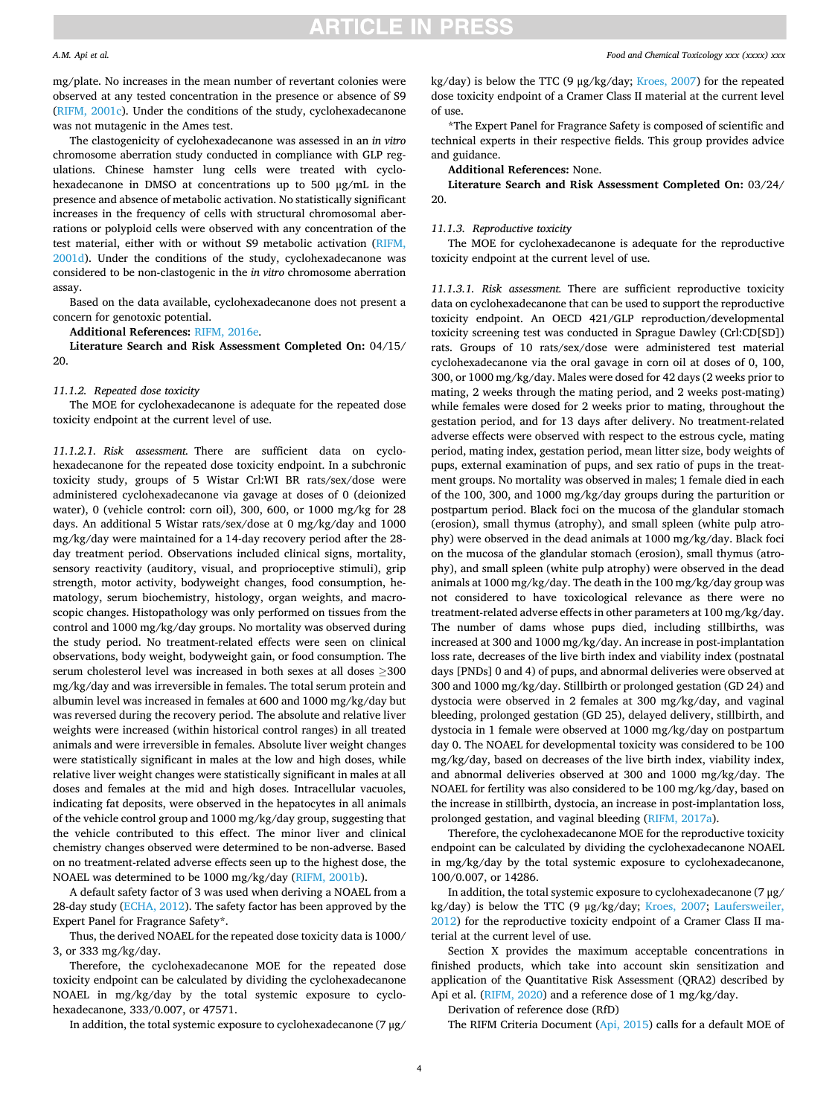#### *A.M. Api et al.*

mg/plate. No increases in the mean number of revertant colonies were observed at any tested concentration in the presence or absence of S9 ([RIFM, 2001c](#page-8-0)). Under the conditions of the study, cyclohexadecanone was not mutagenic in the Ames test.

The clastogenicity of cyclohexadecanone was assessed in an *in vitro*  chromosome aberration study conducted in compliance with GLP regulations. Chinese hamster lung cells were treated with cyclohexadecanone in DMSO at concentrations up to 500 μg/mL in the presence and absence of metabolic activation. No statistically significant increases in the frequency of cells with structural chromosomal aberrations or polyploid cells were observed with any concentration of the test material, either with or without S9 metabolic activation [\(RIFM,](#page-8-0)  [2001d](#page-8-0)). Under the conditions of the study, cyclohexadecanone was considered to be non-clastogenic in the *in vitro* chromosome aberration assay.

Based on the data available, cyclohexadecanone does not present a concern for genotoxic potential.

**Additional References:** [RIFM, 2016e.](#page-8-0)

**Literature Search and Risk Assessment Completed On:** 04/15/ 20.

## *11.1.2. Repeated dose toxicity*

The MOE for cyclohexadecanone is adequate for the repeated dose toxicity endpoint at the current level of use.

*11.1.2.1. Risk assessment.* There are sufficient data on cyclohexadecanone for the repeated dose toxicity endpoint. In a subchronic toxicity study, groups of 5 Wistar Crl:WI BR rats/sex/dose were administered cyclohexadecanone via gavage at doses of 0 (deionized water), 0 (vehicle control: corn oil), 300, 600, or 1000 mg/kg for 28 days. An additional 5 Wistar rats/sex/dose at 0 mg/kg/day and 1000 mg/kg/day were maintained for a 14-day recovery period after the 28 day treatment period. Observations included clinical signs, mortality, sensory reactivity (auditory, visual, and proprioceptive stimuli), grip strength, motor activity, bodyweight changes, food consumption, hematology, serum biochemistry, histology, organ weights, and macroscopic changes. Histopathology was only performed on tissues from the control and 1000 mg/kg/day groups. No mortality was observed during the study period. No treatment-related effects were seen on clinical observations, body weight, bodyweight gain, or food consumption. The serum cholesterol level was increased in both sexes at all doses ≥300 mg/kg/day and was irreversible in females. The total serum protein and albumin level was increased in females at 600 and 1000 mg/kg/day but was reversed during the recovery period. The absolute and relative liver weights were increased (within historical control ranges) in all treated animals and were irreversible in females. Absolute liver weight changes were statistically significant in males at the low and high doses, while relative liver weight changes were statistically significant in males at all doses and females at the mid and high doses. Intracellular vacuoles, indicating fat deposits, were observed in the hepatocytes in all animals of the vehicle control group and 1000 mg/kg/day group, suggesting that the vehicle contributed to this effect. The minor liver and clinical chemistry changes observed were determined to be non-adverse. Based on no treatment-related adverse effects seen up to the highest dose, the NOAEL was determined to be 1000 mg/kg/day [\(RIFM, 2001b](#page-8-0)).

A default safety factor of 3 was used when deriving a NOAEL from a 28-day study [\(ECHA, 2012](#page-8-0)). The safety factor has been approved by the Expert Panel for Fragrance Safety\*.

Thus, the derived NOAEL for the repeated dose toxicity data is 1000/ 3, or 333 mg/kg/day.

Therefore, the cyclohexadecanone MOE for the repeated dose toxicity endpoint can be calculated by dividing the cyclohexadecanone NOAEL in mg/kg/day by the total systemic exposure to cyclohexadecanone, 333/0.007, or 47571.

In addition, the total systemic exposure to cyclohexadecanone (7 μg/

kg/day) is below the TTC (9  $\mu$ g/kg/day; [Kroes, 2007](#page-8-0)) for the repeated dose toxicity endpoint of a Cramer Class II material at the current level of use.

\*The Expert Panel for Fragrance Safety is composed of scientific and technical experts in their respective fields. This group provides advice and guidance.

**Additional References:** None.

**Literature Search and Risk Assessment Completed On:** 03/24/ 20.

#### *11.1.3. Reproductive toxicity*

The MOE for cyclohexadecanone is adequate for the reproductive toxicity endpoint at the current level of use.

*11.1.3.1. Risk assessment.* There are sufficient reproductive toxicity data on cyclohexadecanone that can be used to support the reproductive toxicity endpoint. An OECD 421/GLP reproduction/developmental toxicity screening test was conducted in Sprague Dawley (Crl:CD[SD]) rats. Groups of 10 rats/sex/dose were administered test material cyclohexadecanone via the oral gavage in corn oil at doses of 0, 100, 300, or 1000 mg/kg/day. Males were dosed for 42 days (2 weeks prior to mating, 2 weeks through the mating period, and 2 weeks post-mating) while females were dosed for 2 weeks prior to mating, throughout the gestation period, and for 13 days after delivery. No treatment-related adverse effects were observed with respect to the estrous cycle, mating period, mating index, gestation period, mean litter size, body weights of pups, external examination of pups, and sex ratio of pups in the treatment groups. No mortality was observed in males; 1 female died in each of the 100, 300, and 1000 mg/kg/day groups during the parturition or postpartum period. Black foci on the mucosa of the glandular stomach (erosion), small thymus (atrophy), and small spleen (white pulp atrophy) were observed in the dead animals at 1000 mg/kg/day. Black foci on the mucosa of the glandular stomach (erosion), small thymus (atrophy), and small spleen (white pulp atrophy) were observed in the dead animals at 1000 mg/kg/day. The death in the 100 mg/kg/day group was not considered to have toxicological relevance as there were no treatment-related adverse effects in other parameters at 100 mg/kg/day. The number of dams whose pups died, including stillbirths, was increased at 300 and 1000 mg/kg/day. An increase in post-implantation loss rate, decreases of the live birth index and viability index (postnatal days [PNDs] 0 and 4) of pups, and abnormal deliveries were observed at 300 and 1000 mg/kg/day. Stillbirth or prolonged gestation (GD 24) and dystocia were observed in 2 females at 300 mg/kg/day, and vaginal bleeding, prolonged gestation (GD 25), delayed delivery, stillbirth, and dystocia in 1 female were observed at 1000 mg/kg/day on postpartum day 0. The NOAEL for developmental toxicity was considered to be 100 mg/kg/day, based on decreases of the live birth index, viability index, and abnormal deliveries observed at 300 and 1000 mg/kg/day. The NOAEL for fertility was also considered to be 100 mg/kg/day, based on the increase in stillbirth, dystocia, an increase in post-implantation loss, prolonged gestation, and vaginal bleeding ([RIFM, 2017a](#page-8-0)).

Therefore, the cyclohexadecanone MOE for the reproductive toxicity endpoint can be calculated by dividing the cyclohexadecanone NOAEL in mg/kg/day by the total systemic exposure to cyclohexadecanone, 100/0.007, or 14286.

In addition, the total systemic exposure to cyclohexadecanone (7 μg/ kg/day) is below the TTC (9 μg/kg/day; [Kroes, 2007](#page-8-0); [Laufersweiler,](#page-8-0)  [2012\)](#page-8-0) for the reproductive toxicity endpoint of a Cramer Class II material at the current level of use.

Section X provides the maximum acceptable concentrations in finished products, which take into account skin sensitization and application of the Quantitative Risk Assessment (QRA2) described by Api et al. [\(RIFM, 2020\)](#page-9-0) and a reference dose of 1 mg/kg/day.

Derivation of reference dose (RfD)

The RIFM Criteria Document [\(Api, 2015](#page-8-0)) calls for a default MOE of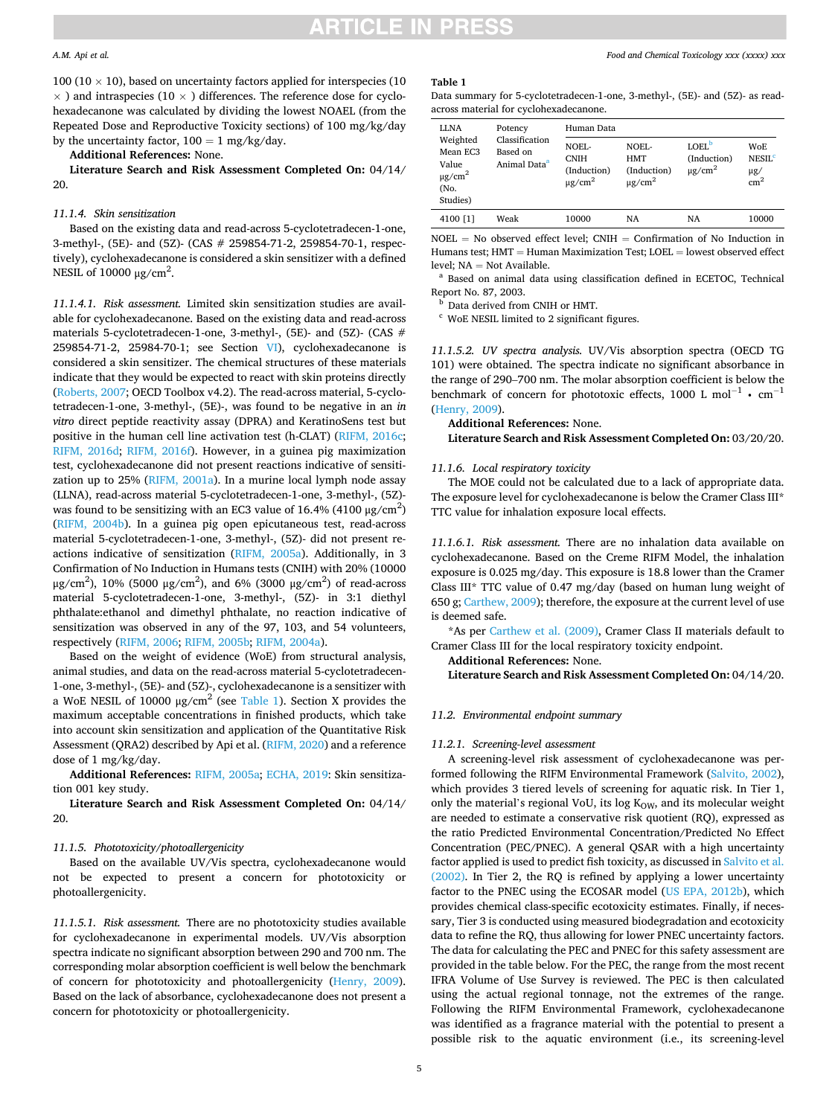#### *A.M. Api et al.*

100 (10  $\times$  10), based on uncertainty factors applied for interspecies (10  $\times$  ) and intraspecies (10  $\times$  ) differences. The reference dose for cyclohexadecanone was calculated by dividing the lowest NOAEL (from the Repeated Dose and Reproductive Toxicity sections) of 100 mg/kg/day by the uncertainty factor,  $100 = 1$  mg/kg/day.

**Additional References:** None.

**Literature Search and Risk Assessment Completed On:** 04/14/ 20.

## *11.1.4. Skin sensitization*

Based on the existing data and read-across 5-cyclotetradecen-1-one, 3-methyl-, (5E)- and (5Z)- (CAS # 259854-71-2, 259854-70-1, respectively), cyclohexadecanone is considered a skin sensitizer with a defined NESIL of 10000  $\mu$ g/cm<sup>2</sup>.

*11.1.4.1. Risk assessment.* Limited skin sensitization studies are available for cyclohexadecanone. Based on the existing data and read-across materials 5-cyclotetradecen-1-one, 3-methyl-, (5E)- and (5Z)- (CAS # 259854-71-2, 25984-70-1; see Section [VI](#page-2-0)), cyclohexadecanone is considered a skin sensitizer. The chemical structures of these materials indicate that they would be expected to react with skin proteins directly ([Roberts, 2007;](#page-9-0) OECD Toolbox v4.2). The read-across material, 5-cyclotetradecen-1-one, 3-methyl-, (5E)-, was found to be negative in an *in vitro* direct peptide reactivity assay (DPRA) and KeratinoSens test but positive in the human cell line activation test (h-CLAT) ([RIFM, 2016c](#page-8-0); [RIFM, 2016d;](#page-8-0) [RIFM, 2016f\)](#page-8-0). However, in a guinea pig maximization test, cyclohexadecanone did not present reactions indicative of sensitization up to 25% ([RIFM, 2001a\)](#page-8-0). In a murine local lymph node assay (LLNA), read-across material 5-cyclotetradecen-1-one, 3-methyl-, (5Z) was found to be sensitizing with an EC3 value of 16.4% (4100  $\mu$ g/cm<sup>2</sup>) ([RIFM, 2004b](#page-8-0)). In a guinea pig open epicutaneous test, read-across material 5-cyclotetradecen-1-one, 3-methyl-, (5Z)- did not present reactions indicative of sensitization [\(RIFM, 2005a](#page-8-0)). Additionally, in 3 Confirmation of No Induction in Humans tests (CNIH) with 20% (10000 μg/cm<sup>2</sup>), 10% (5000 μg/cm<sup>2</sup>), and 6% (3000 μg/cm<sup>2</sup>) of read-across material 5-cyclotetradecen-1-one, 3-methyl-, (5Z)- in 3:1 diethyl phthalate:ethanol and dimethyl phthalate, no reaction indicative of sensitization was observed in any of the 97, 103, and 54 volunteers, respectively [\(RIFM, 2006; RIFM, 2005b; RIFM, 2004a\)](#page-8-0).

Based on the weight of evidence (WoE) from structural analysis, animal studies, and data on the read-across material 5-cyclotetradecen-1-one, 3-methyl-, (5E)- and (5Z)-, cyclohexadecanone is a sensitizer with a WoE NESIL of 10000 μg/cm<sup>2</sup> (see Table 1). Section X provides the maximum acceptable concentrations in finished products, which take into account skin sensitization and application of the Quantitative Risk Assessment (QRA2) described by Api et al. ([RIFM, 2020\)](#page-9-0) and a reference dose of 1 mg/kg/day.

**Additional References:** [RIFM, 2005a;](#page-8-0) [ECHA, 2019](#page-8-0): Skin sensitization 001 key study.

**Literature Search and Risk Assessment Completed On:** 04/14/ 20.

## *11.1.5. Phototoxicity/photoallergenicity*

Based on the available UV/Vis spectra, cyclohexadecanone would not be expected to present a concern for phototoxicity or photoallergenicity.

*11.1.5.1. Risk assessment.* There are no phototoxicity studies available for cyclohexadecanone in experimental models. UV/Vis absorption spectra indicate no significant absorption between 290 and 700 nm. The corresponding molar absorption coefficient is well below the benchmark of concern for phototoxicity and photoallergenicity [\(Henry, 2009](#page-8-0)). Based on the lack of absorbance, cyclohexadecanone does not present a concern for phototoxicity or photoallergenicity.

## *Food and Chemical Toxicology xxx (xxxx) xxx*

#### **Table 1**

Data summary for 5-cyclotetradecen-1-one, 3-methyl-, (5E)- and (5Z)- as readacross material for cyclohexadecanone.

| <b>LLNA</b><br>Potency                                                       | Human Data                                             |                                                                |                                                               |                                                             |                                                                       |
|------------------------------------------------------------------------------|--------------------------------------------------------|----------------------------------------------------------------|---------------------------------------------------------------|-------------------------------------------------------------|-----------------------------------------------------------------------|
| Weighted<br>Mean EC3<br>Value<br>$\mu$ g/cm <sup>2</sup><br>(No.<br>Studies) | Classification<br>Based on<br>Animal Data <sup>a</sup> | NOEL-<br><b>CNIH</b><br>(Induction)<br>$\mu$ g/cm <sup>2</sup> | NOEL-<br><b>HMT</b><br>(Induction)<br>$\mu$ g/cm <sup>2</sup> | LOEL <sup>b</sup><br>(Induction)<br>$\mu$ g/cm <sup>2</sup> | Wo <sub>E</sub><br><b>NESIL<sup>c</sup></b><br>$\mu$ g/<br>$\rm cm^2$ |
| 4100 [1]                                                                     | Weak                                                   | 10000                                                          | <b>NA</b>                                                     | <b>NA</b>                                                   | 10000                                                                 |

 $NOEL = No observed effect level; CNIH = Confirmation of No Induction in$ Humans test; HMT = Human Maximization Test; LOEL = lowest observed effect level; NA = Not Available.<br><sup>a</sup> Based on animal data using classification defined in ECETOC, Technical

Report No. 87, 2003.<br><sup>b</sup> Data derived from CNIH or HMT.<br><sup>c</sup> WoE NESIL limited to 2 significant figures.

*11.1.5.2. UV spectra analysis.* UV/Vis absorption spectra (OECD TG 101) were obtained. The spectra indicate no significant absorbance in the range of 290–700 nm. The molar absorption coefficient is below the benchmark of concern for phototoxic effects, 1000 L mol<sup>-1</sup> • cm<sup>-1</sup> ([Henry, 2009\)](#page-8-0).

#### **Additional References:** None.

**Literature Search and Risk Assessment Completed On:** 03/20/20.

#### *11.1.6. Local respiratory toxicity*

The MOE could not be calculated due to a lack of appropriate data. The exposure level for cyclohexadecanone is below the Cramer Class III\* TTC value for inhalation exposure local effects.

*11.1.6.1. Risk assessment.* There are no inhalation data available on cyclohexadecanone. Based on the Creme RIFM Model, the inhalation exposure is 0.025 mg/day. This exposure is 18.8 lower than the Cramer Class III\* TTC value of 0.47 mg/day (based on human lung weight of 650 g; [Carthew, 2009](#page-8-0)); therefore, the exposure at the current level of use is deemed safe.

\*As per [Carthew et al. \(2009\)](#page-8-0), Cramer Class II materials default to Cramer Class III for the local respiratory toxicity endpoint.

**Additional References:** None.

**Literature Search and Risk Assessment Completed On:** 04/14/20.

#### *11.2. Environmental endpoint summary*

#### *11.2.1. Screening-level assessment*

A screening-level risk assessment of cyclohexadecanone was performed following the RIFM Environmental Framework ([Salvito, 2002](#page-9-0)), which provides 3 tiered levels of screening for aquatic risk. In Tier 1, only the material's regional VoU, its log  $K<sub>OW</sub>$ , and its molecular weight are needed to estimate a conservative risk quotient (RQ), expressed as the ratio Predicted Environmental Concentration/Predicted No Effect Concentration (PEC/PNEC). A general QSAR with a high uncertainty factor applied is used to predict fish toxicity, as discussed in [Salvito et al.](#page-9-0)  [\(2002\).](#page-9-0) In Tier 2, the RQ is refined by applying a lower uncertainty factor to the PNEC using the ECOSAR model [\(US EPA, 2012b](#page-9-0)), which provides chemical class-specific ecotoxicity estimates. Finally, if necessary, Tier 3 is conducted using measured biodegradation and ecotoxicity data to refine the RQ, thus allowing for lower PNEC uncertainty factors. The data for calculating the PEC and PNEC for this safety assessment are provided in the table below. For the PEC, the range from the most recent IFRA Volume of Use Survey is reviewed. The PEC is then calculated using the actual regional tonnage, not the extremes of the range. Following the RIFM Environmental Framework, cyclohexadecanone was identified as a fragrance material with the potential to present a possible risk to the aquatic environment (i.e., its screening-level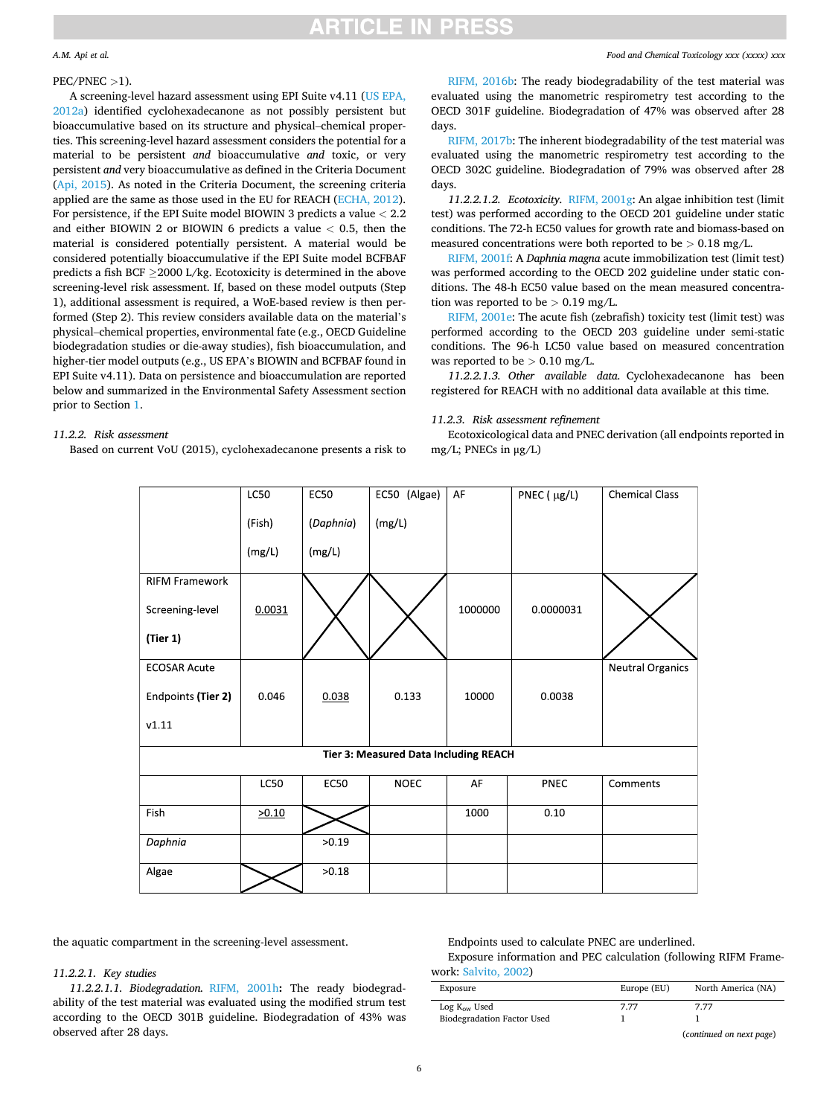## TICI E IN PRES

#### *Food and Chemical Toxicology xxx (xxxx) xxx*

#### *A.M. Api et al.*

#### PEC/PNEC *>*1).

A screening-level hazard assessment using EPI Suite v4.11 ([US EPA,](#page-9-0)  [2012a\)](#page-9-0) identified cyclohexadecanone as not possibly persistent but bioaccumulative based on its structure and physical–chemical properties. This screening-level hazard assessment considers the potential for a material to be persistent *and* bioaccumulative *and* toxic, or very persistent *and* very bioaccumulative as defined in the Criteria Document ([Api, 2015\)](#page-8-0). As noted in the Criteria Document, the screening criteria applied are the same as those used in the EU for REACH [\(ECHA, 2012](#page-8-0)). For persistence, if the EPI Suite model BIOWIN 3 predicts a value *<* 2.2 and either BIOWIN 2 or BIOWIN 6 predicts a value *<* 0.5, then the material is considered potentially persistent. A material would be considered potentially bioaccumulative if the EPI Suite model BCFBAF predicts a fish BCF ≥2000 L/kg. Ecotoxicity is determined in the above screening-level risk assessment. If, based on these model outputs (Step 1), additional assessment is required, a WoE-based review is then performed (Step 2). This review considers available data on the material's physical–chemical properties, environmental fate (e.g., OECD Guideline biodegradation studies or die-away studies), fish bioaccumulation, and higher-tier model outputs (e.g., US EPA's BIOWIN and BCFBAF found in EPI Suite v4.11). Data on persistence and bioaccumulation are reported below and summarized in the Environmental Safety Assessment section prior to Section [1](#page-1-0).

## [RIFM, 2016b](#page-8-0): The ready biodegradability of the test material was evaluated using the manometric respirometry test according to the OECD 301F guideline. Biodegradation of 47% was observed after 28 days.

[RIFM, 2017b](#page-9-0): The inherent biodegradability of the test material was evaluated using the manometric respirometry test according to the OECD 302C guideline. Biodegradation of 79% was observed after 28 days.

*11.2.2.1.2. Ecotoxicity.* [RIFM, 2001g:](#page-8-0) An algae inhibition test (limit test) was performed according to the OECD 201 guideline under static conditions. The 72-h EC50 values for growth rate and biomass-based on measured concentrations were both reported to be *>* 0.18 mg/L.

[RIFM, 2001f:](#page-8-0) A *Daphnia magna* acute immobilization test (limit test) was performed according to the OECD 202 guideline under static conditions. The 48-h EC50 value based on the mean measured concentration was reported to be *>* 0.19 mg/L.

[RIFM, 2001e](#page-8-0): The acute fish (zebrafish) toxicity test (limit test) was performed according to the OECD 203 guideline under semi-static conditions. The 96-h LC50 value based on measured concentration was reported to be *>* 0.10 mg/L.

*11.2.2.1.3. Other available data.* Cyclohexadecanone has been registered for REACH with no additional data available at this time.

## *11.2.2. Risk assessment*

Based on current VoU (2015), cyclohexadecanone presents a risk to

#### *11.2.3. Risk assessment refinement*

Ecotoxicological data and PNEC derivation (all endpoints reported in mg/L; PNECs in μg/L)

|                       | <b>LC50</b> | <b>EC50</b> | EC50 (Algae)                          | AF      |             | <b>Chemical Class</b>   |
|-----------------------|-------------|-------------|---------------------------------------|---------|-------------|-------------------------|
|                       |             |             |                                       |         | PNEC (µg/L) |                         |
|                       | (Fish)      | (Daphnia)   | (mg/L)                                |         |             |                         |
|                       | (mg/L)      | (mg/L)      |                                       |         |             |                         |
| <b>RIFM Framework</b> |             |             |                                       |         |             |                         |
| Screening-level       | 0.0031      |             |                                       | 1000000 | 0.0000031   |                         |
| (Tier 1)              |             |             |                                       |         |             |                         |
| <b>ECOSAR Acute</b>   |             |             |                                       |         |             | <b>Neutral Organics</b> |
| Endpoints (Tier 2)    | 0.046       | 0.038       | 0.133                                 | 10000   | 0.0038      |                         |
| v1.11                 |             |             |                                       |         |             |                         |
|                       |             |             | Tier 3: Measured Data Including REACH |         |             |                         |
|                       | <b>LC50</b> | <b>EC50</b> | <b>NOEC</b>                           | AF      | PNEC        | Comments                |
| Fish                  | >0.10       |             |                                       | 1000    | 0.10        |                         |
| Daphnia               |             | >0.19       |                                       |         |             |                         |
| Algae                 |             | >0.18       |                                       |         |             |                         |

the aquatic compartment in the screening-level assessment.

#### *11.2.2.1. Key studies*

*11.2.2.1.1. Biodegradation.* [RIFM, 2001h](#page-8-0)**:** The ready biodegradability of the test material was evaluated using the modified strum test according to the OECD 301B guideline. Biodegradation of 43% was observed after 28 days.

Endpoints used to calculate PNEC are underlined. Exposure information and PEC calculation (following RIFM Framework: [Salvito, 2002](#page-9-0))

| Exposure                          | Europe (EU) | North America (NA)       |
|-----------------------------------|-------------|--------------------------|
| Log K <sub>ow</sub> Used          | 7.77        | 7.77                     |
| <b>Biodegradation Factor Used</b> |             |                          |
|                                   |             | (continued on next page) |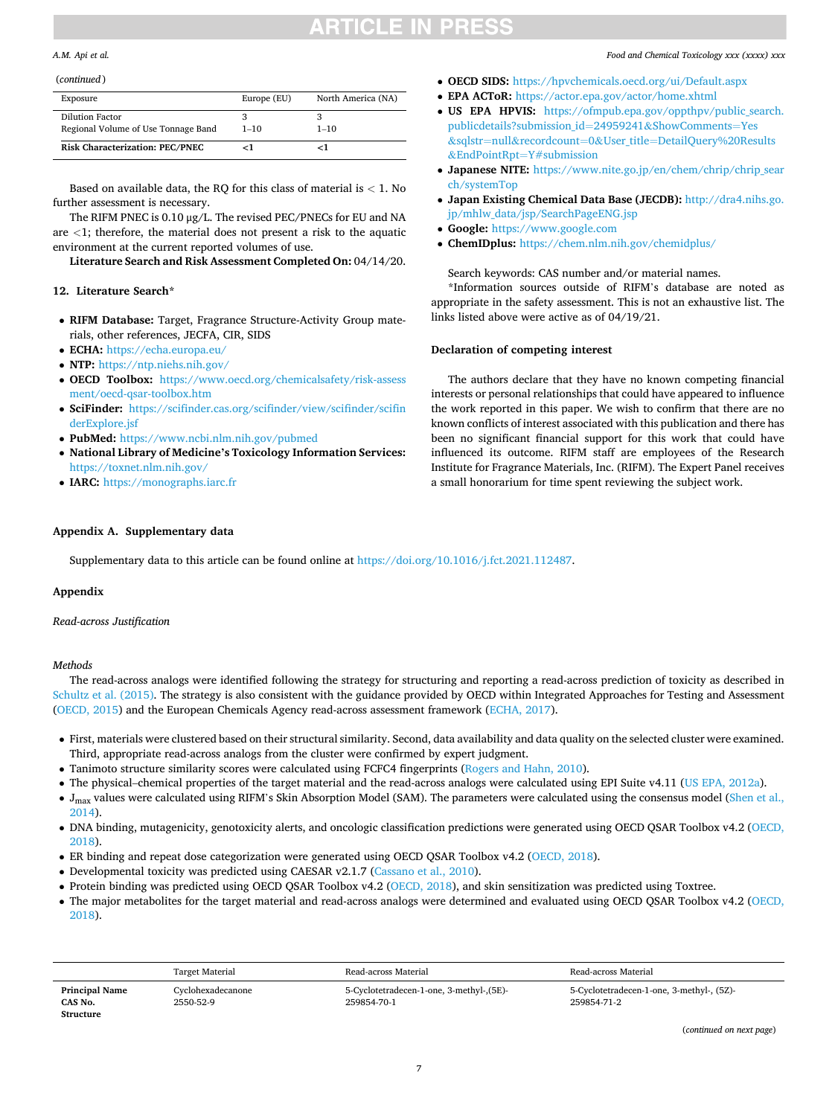# TICI F IN PRF

## *A.M. Api et al.*

### (*continued* )

| Exposure                               | Europe (EU) | North America (NA) |
|----------------------------------------|-------------|--------------------|
|                                        |             |                    |
| Dilution Factor                        |             |                    |
| Regional Volume of Use Tonnage Band    | $1 - 10$    | $1 - 10$           |
| <b>Risk Characterization: PEC/PNEC</b> |             |                    |

Based on available data, the RQ for this class of material is *<* 1. No further assessment is necessary.

The RIFM PNEC is 0.10 μg/L. The revised PEC/PNECs for EU and NA are *<*1; therefore, the material does not present a risk to the aquatic environment at the current reported volumes of use.

**Literature Search and Risk Assessment Completed On:** 04/14/20.

## **12. Literature Search\***

- **RIFM Database:** Target, Fragrance Structure-Activity Group materials, other references, JECFA, CIR, SIDS
- **ECHA:** <https://echa.europa.eu/>
- **NTP:** <https://ntp.niehs.nih.gov/>
- **OECD Toolbox:** [https://www.oecd.org/chemicalsafety/risk-assess](https://www.oecd.org/chemicalsafety/risk-assessment/oecd-qsar-toolbox.htm)  [ment/oecd-qsar-toolbox.htm](https://www.oecd.org/chemicalsafety/risk-assessment/oecd-qsar-toolbox.htm)
- **SciFinder:** [https://scifinder.cas.org/scifinder/view/scifinder/scifin](https://scifinder.cas.org/scifinder/view/scifinder/scifinderExplore.jsf)  [derExplore.jsf](https://scifinder.cas.org/scifinder/view/scifinder/scifinderExplore.jsf)
- **PubMed:** <https://www.ncbi.nlm.nih.gov/pubmed>
- **National Library of Medicine's Toxicology Information Services:**  <https://toxnet.nlm.nih.gov/>
- **IARC:** [https://monographs.iarc.fr](https://monographs.iarc.fr/)

#### *Food and Chemical Toxicology xxx (xxxx) xxx*

- **OECD SIDS:** <https://hpvchemicals.oecd.org/ui/Default.aspx>
- **EPA ACToR:** <https://actor.epa.gov/actor/home.xhtml>
- **US EPA HPVIS:** [https://ofmpub.epa.gov/oppthpv/public\\_search.](https://ofmpub.epa.gov/oppthpv/public_search.publicdetails?submission_id=24959241&ShowComments=Yes&sqlstr=null&recordcount=0&User_title=DetailQuery%20Results&EndPointRpt=Y)  [publicdetails?submission\\_id](https://ofmpub.epa.gov/oppthpv/public_search.publicdetails?submission_id=24959241&ShowComments=Yes&sqlstr=null&recordcount=0&User_title=DetailQuery%20Results&EndPointRpt=Y)=24959241&ShowComments=Yes &sqlstr=null&recordcount=0&User\_title=[DetailQuery%20Results](https://ofmpub.epa.gov/oppthpv/public_search.publicdetails?submission_id=24959241&ShowComments=Yes&sqlstr=null&recordcount=0&User_title=DetailQuery%20Results&EndPointRpt=Y) &EndPointRpt=[Y#submission](https://ofmpub.epa.gov/oppthpv/public_search.publicdetails?submission_id=24959241&ShowComments=Yes&sqlstr=null&recordcount=0&User_title=DetailQuery%20Results&EndPointRpt=Y)
- **Japanese NITE:** [https://www.nite.go.jp/en/chem/chrip/chrip\\_sear](https://www.nite.go.jp/en/chem/chrip/chrip_search/systemTop)  [ch/systemTop](https://www.nite.go.jp/en/chem/chrip/chrip_search/systemTop)
- **Japan Existing Chemical Data Base (JECDB):** [http://dra4.nihs.go.](http://dra4.nihs.go.jp/mhlw_data/jsp/SearchPageENG.jsp)  [jp/mhlw\\_data/jsp/SearchPageENG.jsp](http://dra4.nihs.go.jp/mhlw_data/jsp/SearchPageENG.jsp)
- **Google:** [https://www.google.com](https://www.google.com/webhp?tab=ww&ei=KMSoUpiQK-arsQS324GwBg&ved=0CBQQ1S4)
- **ChemIDplus:** <https://chem.nlm.nih.gov/chemidplus/>

Search keywords: CAS number and/or material names.

\*Information sources outside of RIFM's database are noted as appropriate in the safety assessment. This is not an exhaustive list. The links listed above were active as of 04/19/21.

### **Declaration of competing interest**

The authors declare that they have no known competing financial interests or personal relationships that could have appeared to influence the work reported in this paper. We wish to confirm that there are no known conflicts of interest associated with this publication and there has been no significant financial support for this work that could have influenced its outcome. RIFM staff are employees of the Research Institute for Fragrance Materials, Inc. (RIFM). The Expert Panel receives a small honorarium for time spent reviewing the subject work.

## **Appendix A. Supplementary data**

Supplementary data to this article can be found online at [https://doi.org/10.1016/j.fct.2021.112487.](https://doi.org/10.1016/j.fct.2021.112487)

### **Appendix**

*Read-across Justification* 

### *Methods*

The read-across analogs were identified following the strategy for structuring and reporting a read-across prediction of toxicity as described in [Schultz et al. \(2015\)](#page-9-0). The strategy is also consistent with the guidance provided by OECD within Integrated Approaches for Testing and Assessment ([OECD, 2015](#page-8-0)) and the European Chemicals Agency read-across assessment framework [\(ECHA, 2017\)](#page-8-0).

- First, materials were clustered based on their structural similarity. Second, data availability and data quality on the selected cluster were examined. Third, appropriate read-across analogs from the cluster were confirmed by expert judgment.
- Tanimoto structure similarity scores were calculated using FCFC4 fingerprints ([Rogers and Hahn, 2010](#page-9-0)).
- The physical–chemical properties of the target material and the read-across analogs were calculated using EPI Suite v4.11 ([US EPA, 2012a](#page-9-0)).
- $\bullet$  J<sub>max</sub> values were calculated using RIFM's Skin Absorption Model (SAM). The parameters were calculated using the consensus model (Shen et al., [2014](#page-9-0)).
- DNA binding, mutagenicity, genotoxicity alerts, and oncologic classification predictions were generated using OECD QSAR Toolbox v4.2 [\(OECD,](#page-8-0)  [2018](#page-8-0)).
- ER binding and repeat dose categorization were generated using OECD QSAR Toolbox v4.2 [\(OECD, 2018\)](#page-8-0).
- Developmental toxicity was predicted using CAESAR v2.1.7 [\(Cassano et al., 2010](#page-8-0)).
- Protein binding was predicted using OECD QSAR Toolbox v4.2 ([OECD, 2018](#page-8-0)), and skin sensitization was predicted using Toxtree.
- The major metabolites for the target material and read-across analogs were determined and evaluated using OECD QSAR Toolbox v4.2 [\(OECD,](#page-8-0)  [2018](#page-8-0)).

|                                  | Target Material                | Read-across Material                                     | Read-across Material                                     |
|----------------------------------|--------------------------------|----------------------------------------------------------|----------------------------------------------------------|
| <b>Principal Name</b><br>CAS No. | Cvclohexadecanone<br>2550-52-9 | 5-Cyclotetradecen-1-one, 3-methyl-, (5E)-<br>259854-70-1 | 5-Cyclotetradecen-1-one, 3-methyl-, (5Z)-<br>259854-71-2 |
| Structure                        |                                |                                                          |                                                          |

(*continued on next page*)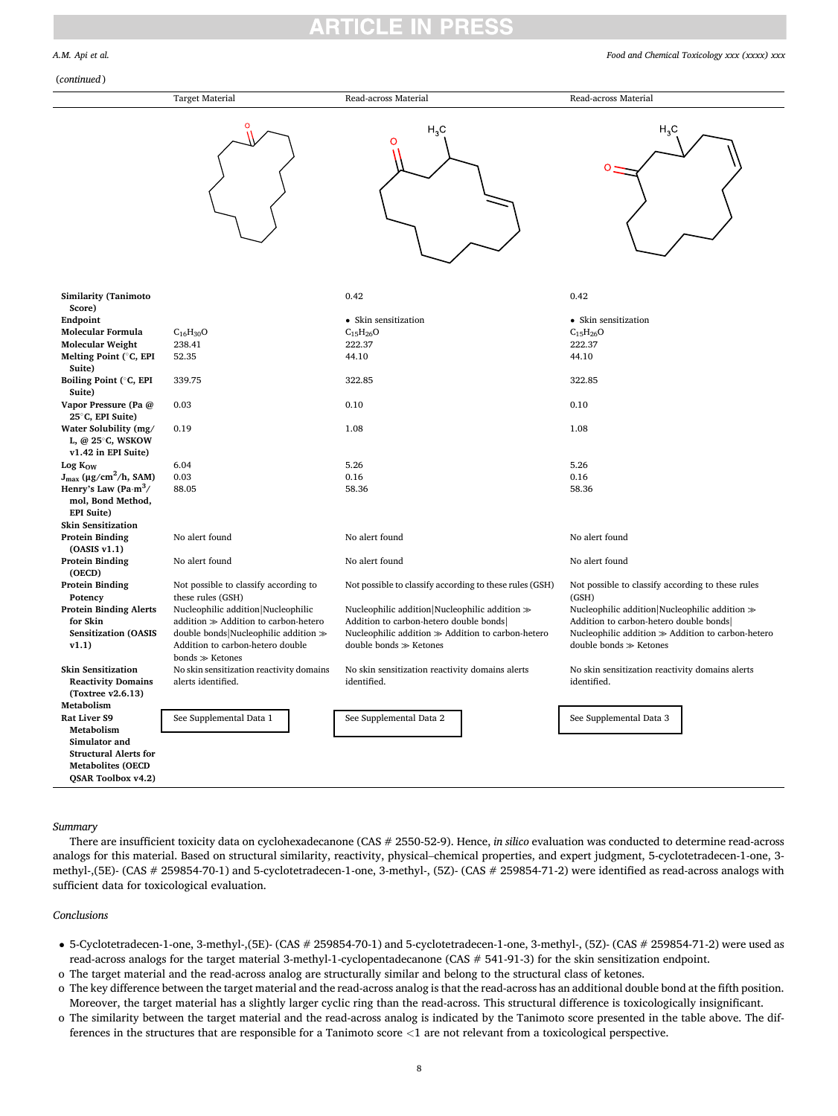*Food and Chemical Toxicology xxx (xxxx) xxx*

## (*continued* ) *A.M. Api et al.*

| , concuración                                                                                                                 | <b>Target Material</b>                                         | Read-across Material                                           | Read-across Material                                           |
|-------------------------------------------------------------------------------------------------------------------------------|----------------------------------------------------------------|----------------------------------------------------------------|----------------------------------------------------------------|
|                                                                                                                               |                                                                |                                                                |                                                                |
|                                                                                                                               | Ō                                                              | $H_3C$<br>O                                                    | $H_3C$                                                         |
| <b>Similarity (Tanimoto</b><br>Score)                                                                                         |                                                                | 0.42                                                           | 0.42                                                           |
| Endpoint                                                                                                                      |                                                                | • Skin sensitization                                           | • Skin sensitization                                           |
| Molecular Formula                                                                                                             | $C_{16}H_{30}O$                                                | $C_{15}H_{26}O$                                                | $C_{15}H_{26}O$                                                |
| <b>Molecular Weight</b>                                                                                                       | 238.41                                                         | 222.37                                                         | 222.37                                                         |
| Melting Point (°C, EPI<br>Suite)                                                                                              | 52.35                                                          | 44.10                                                          | 44.10                                                          |
| Boiling Point (°C, EPI<br>Suite)                                                                                              | 339.75                                                         | 322.85                                                         | 322.85                                                         |
| Vapor Pressure (Pa @<br>25°C, EPI Suite)                                                                                      | 0.03                                                           | 0.10                                                           | 0.10                                                           |
| Water Solubility (mg/<br>L, @ 25°C, WSKOW<br>v1.42 in EPI Suite)                                                              | 0.19                                                           | 1.08                                                           | 1.08                                                           |
| Log K <sub>ow</sub>                                                                                                           | 6.04                                                           | 5.26                                                           | 5.26                                                           |
| $J_{\text{max}}$ (µg/cm <sup>2</sup> /h, SAM)                                                                                 | 0.03                                                           | 0.16                                                           | 0.16                                                           |
| Henry's Law (Pa $\cdot$ m <sup>3</sup> /<br>mol, Bond Method,<br><b>EPI</b> Suite)                                            | 88.05                                                          | 58.36                                                          | 58.36                                                          |
| <b>Skin Sensitization</b>                                                                                                     |                                                                |                                                                |                                                                |
| <b>Protein Binding</b><br>(OASIS v1.1)                                                                                        | No alert found                                                 | No alert found                                                 | No alert found                                                 |
| <b>Protein Binding</b><br>(OECD)                                                                                              | No alert found                                                 | No alert found                                                 | No alert found                                                 |
| <b>Protein Binding</b><br>Potency                                                                                             | Not possible to classify according to<br>these rules (GSH)     | Not possible to classify according to these rules (GSH)        | Not possible to classify according to these rules<br>(GSH)     |
| <b>Protein Binding Alerts</b>                                                                                                 | Nucleophilic addition Nucleophilic                             | Nucleophilic addition Nucleophilic addition >>                 | Nucleophilic addition Nucleophilic addition >>                 |
| for Skin                                                                                                                      | addition >> Addition to carbon-hetero                          | Addition to carbon-hetero double bonds                         | Addition to carbon-hetero double bonds                         |
| <b>Sensitization (OASIS</b>                                                                                                   | double bonds Nucleophilic addition >>                          | Nucleophilic addition >> Addition to carbon-hetero             | Nucleophilic addition >> Addition to carbon-hetero             |
| v1.1)                                                                                                                         | Addition to carbon-hetero double<br>bonds $\gg$ Ketones        | $double$ bonds $\gg$ Ketones                                   | double bonds $\gg$ Ketones                                     |
| <b>Skin Sensitization</b><br><b>Reactivity Domains</b><br>(Toxtree v2.6.13)<br>Metabolism                                     | No skin sensitization reactivity domains<br>alerts identified. | No skin sensitization reactivity domains alerts<br>identified. | No skin sensitization reactivity domains alerts<br>identified. |
| Rat Liver S9<br>Metabolism<br>Simulator and<br><b>Structural Alerts for</b><br><b>Metabolites (OECD</b><br>QSAR Toolbox v4.2) | See Supplemental Data 1                                        | See Supplemental Data 2                                        | See Supplemental Data 3                                        |

#### *Summary*

There are insufficient toxicity data on cyclohexadecanone (CAS # 2550-52-9). Hence, *in silico* evaluation was conducted to determine read-across analogs for this material. Based on structural similarity, reactivity, physical–chemical properties, and expert judgment, 5-cyclotetradecen-1-one, 3 methyl-,(5E)- (CAS # 259854-70-1) and 5-cyclotetradecen-1-one, 3-methyl-, (5Z)- (CAS # 259854-71-2) were identified as read-across analogs with sufficient data for toxicological evaluation.

#### *Conclusions*

- 5-Cyclotetradecen-1-one, 3-methyl-,(5E)- (CAS # 259854-70-1) and 5-cyclotetradecen-1-one, 3-methyl-, (5Z)- (CAS # 259854-71-2) were used as read-across analogs for the target material 3-methyl-1-cyclopentadecanone (CAS # 541-91-3) for the skin sensitization endpoint.
- o The target material and the read-across analog are structurally similar and belong to the structural class of ketones.
- o The key difference between the target material and the read-across analog is that the read-across has an additional double bond at the fifth position. Moreover, the target material has a slightly larger cyclic ring than the read-across. This structural difference is toxicologically insignificant.
- o The similarity between the target material and the read-across analog is indicated by the Tanimoto score presented in the table above. The differences in the structures that are responsible for a Tanimoto score *<*1 are not relevant from a toxicological perspective.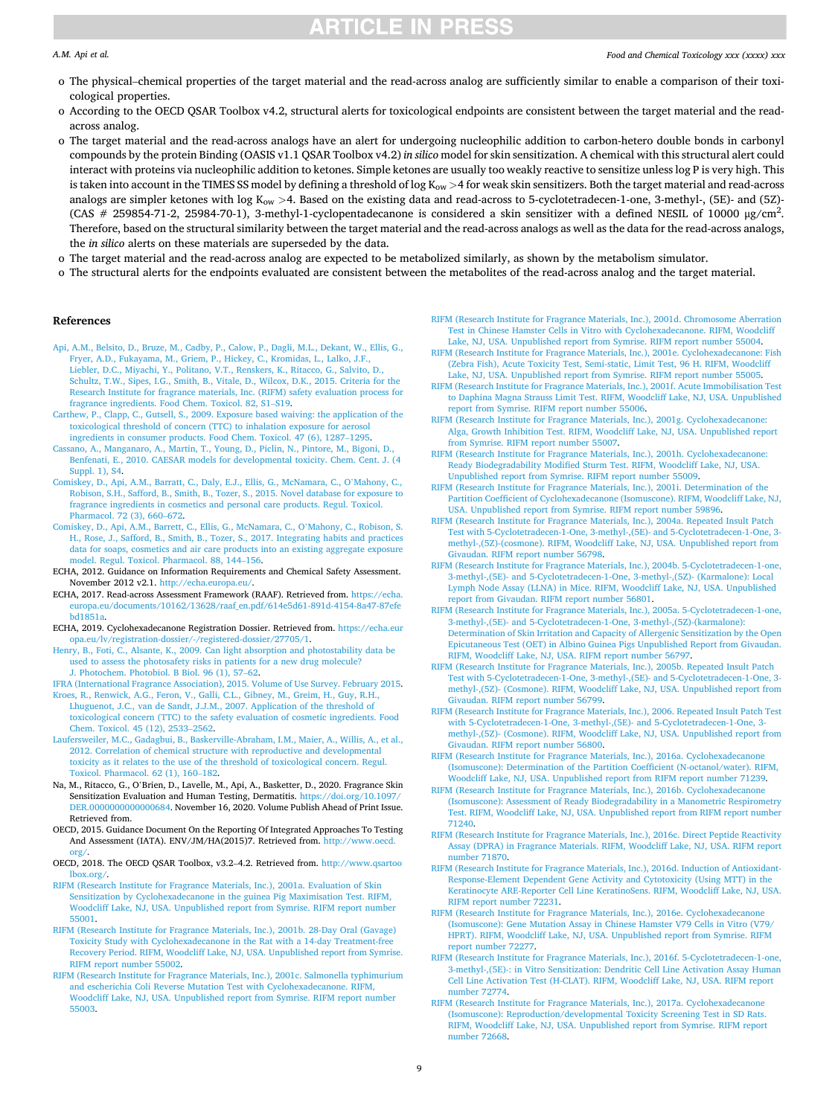#### <span id="page-8-0"></span>*A.M. Api et al.*

#### *Food and Chemical Toxicology xxx (xxxx) xxx*

- o The physical–chemical properties of the target material and the read-across analog are sufficiently similar to enable a comparison of their toxicological properties.
- o According to the OECD QSAR Toolbox v4.2, structural alerts for toxicological endpoints are consistent between the target material and the readacross analog.
- o The target material and the read-across analogs have an alert for undergoing nucleophilic addition to carbon-hetero double bonds in carbonyl compounds by the protein Binding (OASIS v1.1 QSAR Toolbox v4.2) *in silico* model for skin sensitization. A chemical with this structural alert could interact with proteins via nucleophilic addition to ketones. Simple ketones are usually too weakly reactive to sensitize unless log P is very high. This is taken into account in the TIMES SS model by defining a threshold of log K<sub>ow</sub> >4 for weak skin sensitizers. Both the target material and read-across analogs are simpler ketones with log K<sub>ow</sub> > 4. Based on the existing data and read-across to 5-cyclotetradecen-1-one, 3-methyl-, (5E)- and (5Z)-(CAS  $\#$  259854-71-2, 25984-70-1), 3-methyl-1-cyclopentadecanone is considered a skin sensitizer with a defined NESIL of 10000  $\mu$ g/cm<sup>2</sup>. Therefore, based on the structural similarity between the target material and the read-across analogs as well as the data for the read-across analogs, the *in silico* alerts on these materials are superseded by the data.
- o The target material and the read-across analog are expected to be metabolized similarly, as shown by the metabolism simulator.
- o The structural alerts for the endpoints evaluated are consistent between the metabolites of the read-across analog and the target material.

#### **References**

- [Api, A.M., Belsito, D., Bruze, M., Cadby, P., Calow, P., Dagli, M.L., Dekant, W., Ellis, G.,](http://refhub.elsevier.com/S0278-6915(21)00520-2/sref1)  [Fryer, A.D., Fukayama, M., Griem, P., Hickey, C., Kromidas, L., Lalko, J.F.,](http://refhub.elsevier.com/S0278-6915(21)00520-2/sref1)  [Liebler, D.C., Miyachi, Y., Politano, V.T., Renskers, K., Ritacco, G., Salvito, D.,](http://refhub.elsevier.com/S0278-6915(21)00520-2/sref1)  [Schultz, T.W., Sipes, I.G., Smith, B., Vitale, D., Wilcox, D.K., 2015. Criteria for the](http://refhub.elsevier.com/S0278-6915(21)00520-2/sref1)  [Research Institute for fragrance materials, Inc. \(RIFM\) safety evaluation process for](http://refhub.elsevier.com/S0278-6915(21)00520-2/sref1)  [fragrance ingredients. Food Chem. Toxicol. 82, S1](http://refhub.elsevier.com/S0278-6915(21)00520-2/sref1)–S19.
- [Carthew, P., Clapp, C., Gutsell, S., 2009. Exposure based waiving: the application of the](http://refhub.elsevier.com/S0278-6915(21)00520-2/sref2)  [toxicological threshold of concern \(TTC\) to inhalation exposure for aerosol](http://refhub.elsevier.com/S0278-6915(21)00520-2/sref2) [ingredients in consumer products. Food Chem. Toxicol. 47 \(6\), 1287](http://refhub.elsevier.com/S0278-6915(21)00520-2/sref2)–1295.
- [Cassano, A., Manganaro, A., Martin, T., Young, D., Piclin, N., Pintore, M., Bigoni, D.,](http://refhub.elsevier.com/S0278-6915(21)00520-2/sref3) [Benfenati, E., 2010. CAESAR models for developmental toxicity. Chem. Cent. J. \(4](http://refhub.elsevier.com/S0278-6915(21)00520-2/sref3)  [Suppl. 1\), S4](http://refhub.elsevier.com/S0278-6915(21)00520-2/sref3).
- [Comiskey, D., Api, A.M., Barratt, C., Daly, E.J., Ellis, G., McNamara, C., O](http://refhub.elsevier.com/S0278-6915(21)00520-2/sref4)'Mahony, C., Robison, S.H., Safford, B., Smith, B., Tozer, S., 2015. Novel database for exposure [fragrance ingredients in cosmetics and personal care products. Regul. Toxicol.](http://refhub.elsevier.com/S0278-6915(21)00520-2/sref4) [Pharmacol. 72 \(3\), 660](http://refhub.elsevier.com/S0278-6915(21)00520-2/sref4)–672.
- [Comiskey, D., Api, A.M., Barrett, C., Ellis, G., McNamara, C., O](http://refhub.elsevier.com/S0278-6915(21)00520-2/sref5)'Mahony, C., Robison, S. [H., Rose, J., Safford, B., Smith, B., Tozer, S., 2017. Integrating habits and practices](http://refhub.elsevier.com/S0278-6915(21)00520-2/sref5)  [data for soaps, cosmetics and air care products into an existing aggregate exposure](http://refhub.elsevier.com/S0278-6915(21)00520-2/sref5)  [model. Regul. Toxicol. Pharmacol. 88, 144](http://refhub.elsevier.com/S0278-6915(21)00520-2/sref5)–156.
- ECHA, 2012. Guidance on Information Requirements and Chemical Safety Assessment. November 2012 v2.1. <http://echa.europa.eu/>.
- ECHA, 2017. Read-across Assessment Framework (RAAF). Retrieved from. [https://echa.](https://echa.europa.eu/documents/10162/13628/raaf_en.pdf/614e5d61-891d-4154-8a47-87efebd1851a)  [europa.eu/documents/10162/13628/raaf\\_en.pdf/614e5d61-891d-4154-8a47-87efe](https://echa.europa.eu/documents/10162/13628/raaf_en.pdf/614e5d61-891d-4154-8a47-87efebd1851a) [bd1851a](https://echa.europa.eu/documents/10162/13628/raaf_en.pdf/614e5d61-891d-4154-8a47-87efebd1851a).
- ECHA, 2019. Cyclohexadecanone Registration Dossier. Retrieved from. [https://echa.eur](https://echa.europa.eu/lv/registration-dossier/-/registered-dossier/27705/1)  [opa.eu/lv/registration-dossier/-/registered-dossier/27705/1.](https://echa.europa.eu/lv/registration-dossier/-/registered-dossier/27705/1)
- [Henry, B., Foti, C., Alsante, K., 2009. Can light absorption and photostability data be](http://refhub.elsevier.com/S0278-6915(21)00520-2/sref9)  [used to assess the photosafety risks in patients for a new drug molecule?](http://refhub.elsevier.com/S0278-6915(21)00520-2/sref9) [J. Photochem. Photobiol. B Biol. 96 \(1\), 57](http://refhub.elsevier.com/S0278-6915(21)00520-2/sref9)–62.
- [IFRA \(International Fragrance Association\), 2015. Volume of Use Survey. February 2015.](http://refhub.elsevier.com/S0278-6915(21)00520-2/sref10) [Kroes, R., Renwick, A.G., Feron, V., Galli, C.L., Gibney, M., Greim, H., Guy, R.H.,](http://refhub.elsevier.com/S0278-6915(21)00520-2/sref11)
- [Lhuguenot, J.C., van de Sandt, J.J.M., 2007. Application of the threshold of](http://refhub.elsevier.com/S0278-6915(21)00520-2/sref11) [toxicological concern \(TTC\) to the safety evaluation of cosmetic ingredients. Food](http://refhub.elsevier.com/S0278-6915(21)00520-2/sref11)  [Chem. Toxicol. 45 \(12\), 2533](http://refhub.elsevier.com/S0278-6915(21)00520-2/sref11)–2562.
- [Laufersweiler, M.C., Gadagbui, B., Baskerville-Abraham, I.M., Maier, A., Willis, A., et al.,](http://refhub.elsevier.com/S0278-6915(21)00520-2/sref12)  [2012. Correlation of chemical structure with reproductive and developmental](http://refhub.elsevier.com/S0278-6915(21)00520-2/sref12) [toxicity as it relates to the use of the threshold of toxicological concern. Regul.](http://refhub.elsevier.com/S0278-6915(21)00520-2/sref12) [Toxicol. Pharmacol. 62 \(1\), 160](http://refhub.elsevier.com/S0278-6915(21)00520-2/sref12)–182.
- Na, M., Ritacco, G., O'Brien, D., Lavelle, M., Api, A., Basketter, D., 2020. Fragrance Skin Sensitization Evaluation and Human Testing, Dermatitis. [https://doi.org/10.1097/](https://doi.org/10.1097/DER.0000000000000684) [DER.0000000000000684](https://doi.org/10.1097/DER.0000000000000684). November 16, 2020. Volume Publish Ahead of Print Issue. Retrieved from.
- OECD, 2015. Guidance Document On the Reporting Of Integrated Approaches To Testing And Assessment (IATA). ENV/JM/HA(2015)7. Retrieved from. [http://www.oecd.](http://www.oecd.org/) [org/.](http://www.oecd.org/)
- OECD, 2018. The OECD QSAR Toolbox, v3.2–4.2. Retrieved from. [http://www.qsartoo](http://www.qsartoolbox.org/)  [lbox.org/.](http://www.qsartoolbox.org/)
- [RIFM \(Research Institute for Fragrance Materials, Inc.\), 2001a. Evaluation of Skin](http://refhub.elsevier.com/S0278-6915(21)00520-2/sref16) [Sensitization by Cyclohexadecanone in the guinea Pig Maximisation Test. RIFM,](http://refhub.elsevier.com/S0278-6915(21)00520-2/sref16)  [Woodcliff Lake, NJ, USA. Unpublished report from Symrise. RIFM report number](http://refhub.elsevier.com/S0278-6915(21)00520-2/sref16) [55001.](http://refhub.elsevier.com/S0278-6915(21)00520-2/sref16)
- [RIFM \(Research Institute for Fragrance Materials, Inc.\), 2001b. 28-Day Oral \(Gavage\)](http://refhub.elsevier.com/S0278-6915(21)00520-2/sref17)  [Toxicity Study with Cyclohexadecanone in the Rat with a 14-day Treatment-free](http://refhub.elsevier.com/S0278-6915(21)00520-2/sref17)  [Recovery Period. RIFM, Woodcliff Lake, NJ, USA. Unpublished report from Symrise.](http://refhub.elsevier.com/S0278-6915(21)00520-2/sref17)  [RIFM report number 55002](http://refhub.elsevier.com/S0278-6915(21)00520-2/sref17).
- [RIFM \(Research Institute for Fragrance Materials, Inc.\), 2001c. Salmonella typhimurium](http://refhub.elsevier.com/S0278-6915(21)00520-2/sref18)  [and escherichia Coli Reverse Mutation Test with Cyclohexadecanone. RIFM,](http://refhub.elsevier.com/S0278-6915(21)00520-2/sref18)  [Woodcliff Lake, NJ, USA. Unpublished report from Symrise. RIFM report number](http://refhub.elsevier.com/S0278-6915(21)00520-2/sref18) [55003.](http://refhub.elsevier.com/S0278-6915(21)00520-2/sref18)

[RIFM \(Research Institute for Fragrance Materials, Inc.\), 2001d. Chromosome Aberration](http://refhub.elsevier.com/S0278-6915(21)00520-2/sref19)  [Test in Chinese Hamster Cells in Vitro with Cyclohexadecanone. RIFM, Woodcliff](http://refhub.elsevier.com/S0278-6915(21)00520-2/sref19)  [Lake, NJ, USA. Unpublished report from Symrise. RIFM report number 55004.](http://refhub.elsevier.com/S0278-6915(21)00520-2/sref19)

- [RIFM \(Research Institute for Fragrance Materials, Inc.\), 2001e. Cyclohexadecanone: Fish](http://refhub.elsevier.com/S0278-6915(21)00520-2/sref20)  [\(Zebra Fish\), Acute Toxicity Test, Semi-static, Limit Test, 96 H. RIFM, Woodcliff](http://refhub.elsevier.com/S0278-6915(21)00520-2/sref20)  [Lake, NJ, USA. Unpublished report from Symrise. RIFM report number 55005.](http://refhub.elsevier.com/S0278-6915(21)00520-2/sref20)
- [RIFM \(Research Institute for Fragrance Materials, Inc.\), 2001f. Acute Immobilisation Test](http://refhub.elsevier.com/S0278-6915(21)00520-2/sref21)  [to Daphina Magna Strauss Limit Test. RIFM, Woodcliff Lake, NJ, USA. Unpublished](http://refhub.elsevier.com/S0278-6915(21)00520-2/sref21)  [report from Symrise. RIFM report number 55006](http://refhub.elsevier.com/S0278-6915(21)00520-2/sref21).
- [RIFM \(Research Institute for Fragrance Materials, Inc.\), 2001g. Cyclohexadecanone:](http://refhub.elsevier.com/S0278-6915(21)00520-2/sref22)  [Alga, Growth Inhibition Test. RIFM, Woodcliff Lake, NJ, USA. Unpublished report](http://refhub.elsevier.com/S0278-6915(21)00520-2/sref22)  [from Symrise. RIFM report number 55007](http://refhub.elsevier.com/S0278-6915(21)00520-2/sref22).
- [RIFM \(Research Institute for Fragrance Materials, Inc.\), 2001h. Cyclohexadecanone:](http://refhub.elsevier.com/S0278-6915(21)00520-2/sref23) [Ready Biodegradability Modified Sturm Test. RIFM, Woodcliff Lake, NJ, USA.](http://refhub.elsevier.com/S0278-6915(21)00520-2/sref23)  [Unpublished report from Symrise. RIFM report number 55009](http://refhub.elsevier.com/S0278-6915(21)00520-2/sref23).
- [RIFM \(Research Institute for Fragrance Materials, Inc.\), 2001i. Determination of the](http://refhub.elsevier.com/S0278-6915(21)00520-2/sref24) [Partition Coefficient of Cyclohexadecanone \(Isomuscone\). RIFM, Woodcliff Lake, NJ,](http://refhub.elsevier.com/S0278-6915(21)00520-2/sref24)  [USA. Unpublished report from Symrise. RIFM report number 59896](http://refhub.elsevier.com/S0278-6915(21)00520-2/sref24).
- [RIFM \(Research Institute for Fragrance Materials, Inc.\), 2004a. Repeated Insult Patch](http://refhub.elsevier.com/S0278-6915(21)00520-2/sref25) [Test with 5-Cyclotetradecen-1-One, 3-methyl-,\(5E\)- and 5-Cyclotetradecen-1-One, 3](http://refhub.elsevier.com/S0278-6915(21)00520-2/sref25)  [methyl-,\(5Z\)-\(cosmone\). RIFM, Woodcliff Lake, NJ, USA. Unpublished report from](http://refhub.elsevier.com/S0278-6915(21)00520-2/sref25)  [Givaudan. RIFM report number 56798](http://refhub.elsevier.com/S0278-6915(21)00520-2/sref25).
- [RIFM \(Research Institute for Fragrance Materials, Inc.\), 2004b. 5-Cyclotetradecen-1-one,](http://refhub.elsevier.com/S0278-6915(21)00520-2/sref26)  [3-methyl-,\(5E\)- and 5-Cyclotetradecen-1-One, 3-methyl-,\(5Z\)- \(Karmalone\): Local](http://refhub.elsevier.com/S0278-6915(21)00520-2/sref26)  [Lymph Node Assay \(LLNA\) in Mice. RIFM, Woodcliff Lake, NJ, USA. Unpublished](http://refhub.elsevier.com/S0278-6915(21)00520-2/sref26)  [report from Givaudan. RIFM report number 56801](http://refhub.elsevier.com/S0278-6915(21)00520-2/sref26).
- [RIFM \(Research Institute for Fragrance Materials, Inc.\), 2005a. 5-Cyclotetradecen-1-one,](http://refhub.elsevier.com/S0278-6915(21)00520-2/sref27)  [3-methyl-,\(5E\)- and 5-Cyclotetradecen-1-One, 3-methyl-,\(5Z\)-\(karmalone\):](http://refhub.elsevier.com/S0278-6915(21)00520-2/sref27) [Determination of Skin Irritation and Capacity of Allergenic Sensitization by the Open](http://refhub.elsevier.com/S0278-6915(21)00520-2/sref27)  [Epicutaneous Test \(OET\) in Albino Guinea Pigs Unpublished Report from Givaudan.](http://refhub.elsevier.com/S0278-6915(21)00520-2/sref27)  [RIFM, Woodcliff Lake, NJ, USA. RIFM report number 56797.](http://refhub.elsevier.com/S0278-6915(21)00520-2/sref27)
- [RIFM \(Research Institute for Fragrance Materials, Inc.\), 2005b. Repeated Insult Patch](http://refhub.elsevier.com/S0278-6915(21)00520-2/sref28) [Test with 5-Cyclotetradecen-1-One, 3-methyl-,\(5E\)- and 5-Cyclotetradecen-1-One, 3](http://refhub.elsevier.com/S0278-6915(21)00520-2/sref28)  [methyl-,\(5Z\)- \(Cosmone\). RIFM, Woodcliff Lake, NJ, USA. Unpublished report from](http://refhub.elsevier.com/S0278-6915(21)00520-2/sref28)  [Givaudan. RIFM report number 56799](http://refhub.elsevier.com/S0278-6915(21)00520-2/sref28).
- [RIFM \(Research Institute for Fragrance Materials, Inc.\), 2006. Repeated Insult Patch Test](http://refhub.elsevier.com/S0278-6915(21)00520-2/sref29)  [with 5-Cyclotetradecen-1-One, 3-methyl-,\(5E\)- and 5-Cyclotetradecen-1-One, 3](http://refhub.elsevier.com/S0278-6915(21)00520-2/sref29)  [methyl-,\(5Z\)- \(Cosmone\). RIFM, Woodcliff Lake, NJ, USA. Unpublished report from](http://refhub.elsevier.com/S0278-6915(21)00520-2/sref29)  [Givaudan. RIFM report number 56800](http://refhub.elsevier.com/S0278-6915(21)00520-2/sref29).
- [RIFM \(Research Institute for Fragrance Materials, Inc.\), 2016a. Cyclohexadecanone](http://refhub.elsevier.com/S0278-6915(21)00520-2/sref30)  [\(Isomuscone\): Determination of the Partition Coefficient \(N-octanol/water\). RIFM,](http://refhub.elsevier.com/S0278-6915(21)00520-2/sref30)  [Woodcliff Lake, NJ, USA. Unpublished report from RIFM report number 71239](http://refhub.elsevier.com/S0278-6915(21)00520-2/sref30).
- [RIFM \(Research Institute for Fragrance Materials, Inc.\), 2016b. Cyclohexadecanone](http://refhub.elsevier.com/S0278-6915(21)00520-2/sref31) (Isomuscone): Assessment of Ready Biodegradability in a Manometric Respirometry [Test. RIFM, Woodcliff Lake, NJ, USA. Unpublished report from RIFM report number](http://refhub.elsevier.com/S0278-6915(21)00520-2/sref31)  [71240.](http://refhub.elsevier.com/S0278-6915(21)00520-2/sref31)
- [RIFM \(Research Institute for Fragrance Materials, Inc.\), 2016c. Direct Peptide Reactivity](http://refhub.elsevier.com/S0278-6915(21)00520-2/sref32)  [Assay \(DPRA\) in Fragrance Materials. RIFM, Woodcliff Lake, NJ, USA. RIFM report](http://refhub.elsevier.com/S0278-6915(21)00520-2/sref32)  [number 71870](http://refhub.elsevier.com/S0278-6915(21)00520-2/sref32).
- [RIFM \(Research Institute for Fragrance Materials, Inc.\), 2016d. Induction of Antioxidant-](http://refhub.elsevier.com/S0278-6915(21)00520-2/sref33)[Response-Element Dependent Gene Activity and Cytotoxicity \(Using MTT\) in the](http://refhub.elsevier.com/S0278-6915(21)00520-2/sref33) [Keratinocyte ARE-Reporter Cell Line KeratinoSens. RIFM, Woodcliff Lake, NJ, USA.](http://refhub.elsevier.com/S0278-6915(21)00520-2/sref33)  [RIFM report number 72231](http://refhub.elsevier.com/S0278-6915(21)00520-2/sref33).
- [RIFM \(Research Institute for Fragrance Materials, Inc.\), 2016e. Cyclohexadecanone](http://refhub.elsevier.com/S0278-6915(21)00520-2/sref34)  [\(Isomuscone\): Gene Mutation Assay in Chinese Hamster V79 Cells in Vitro \(V79/](http://refhub.elsevier.com/S0278-6915(21)00520-2/sref34) [HPRT\). RIFM, Woodcliff Lake, NJ, USA. Unpublished report from Symrise. RIFM](http://refhub.elsevier.com/S0278-6915(21)00520-2/sref34)  [report number 72277.](http://refhub.elsevier.com/S0278-6915(21)00520-2/sref34)
- [RIFM \(Research Institute for Fragrance Materials, Inc.\), 2016f. 5-Cyclotetradecen-1-one,](http://refhub.elsevier.com/S0278-6915(21)00520-2/sref35)  [3-methyl-,\(5E\)-: in Vitro Sensitization: Dendritic Cell Line Activation Assay Human](http://refhub.elsevier.com/S0278-6915(21)00520-2/sref35) [Cell Line Activation Test \(H-CLAT\). RIFM, Woodcliff Lake, NJ, USA. RIFM report](http://refhub.elsevier.com/S0278-6915(21)00520-2/sref35)  [number 72774](http://refhub.elsevier.com/S0278-6915(21)00520-2/sref35).
- [RIFM \(Research Institute for Fragrance Materials, Inc.\), 2017a. Cyclohexadecanone](http://refhub.elsevier.com/S0278-6915(21)00520-2/sref36)  [\(Isomuscone\): Reproduction/developmental Toxicity Screening Test in SD Rats.](http://refhub.elsevier.com/S0278-6915(21)00520-2/sref36) [RIFM, Woodcliff Lake, NJ, USA. Unpublished report from Symrise. RIFM report](http://refhub.elsevier.com/S0278-6915(21)00520-2/sref36)  [number 72668](http://refhub.elsevier.com/S0278-6915(21)00520-2/sref36).